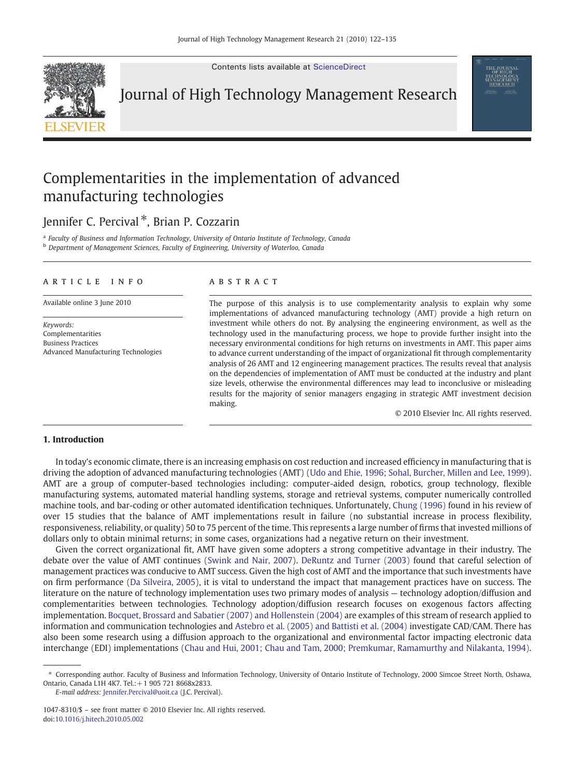Contents lists available at [ScienceDirect](http://www.sciencedirect.com/science/journal/10478310)



Journal of High Technology Management Research

# Complementarities in the implementation of advanced manufacturing technologies

## Jennifer C. Percival<sup>\*</sup>, Brian P. Cozzarin

<sup>a</sup> Faculty of Business and Information Technology, University of Ontario Institute of Technology, Canada <sup>b</sup> Department of Management Sciences, Faculty of Engineering, University of Waterloo, Canada

### article info abstract

Keywords: Complementarities Business Practices Advanced Manufacturing Technologies

Available online 3 June 2010 The purpose of this analysis is to use complementarity analysis to explain why some implementations of advanced manufacturing technology (AMT) provide a high return on investment while others do not. By analysing the engineering environment, as well as the technology used in the manufacturing process, we hope to provide further insight into the necessary environmental conditions for high returns on investments in AMT. This paper aims to advance current understanding of the impact of organizational fit through complementarity analysis of 26 AMT and 12 engineering management practices. The results reveal that analysis on the dependencies of implementation of AMT must be conducted at the industry and plant size levels, otherwise the environmental differences may lead to inconclusive or misleading results for the majority of senior managers engaging in strategic AMT investment decision making.

© 2010 Elsevier Inc. All rights reserved.

#### 1. Introduction

In today's economic climate, there is an increasing emphasis on cost reduction and increased efficiency in manufacturing that is driving the adoption of advanced manufacturing technologies (AMT) [\(Udo and Ehie, 1996; Sohal, Burcher, Millen and Lee, 1999](#page--1-0)). AMT are a group of computer-based technologies including: computer-aided design, robotics, group technology, flexible manufacturing systems, automated material handling systems, storage and retrieval systems, computer numerically controlled machine tools, and bar-coding or other automated identification techniques. Unfortunately, [Chung \(1996\)](#page--1-0) found in his review of over 15 studies that the balance of AMT implementations result in failure (no substantial increase in process flexibility, responsiveness, reliability, or quality) 50 to 75 percent of the time. This represents a large number of firms that invested millions of dollars only to obtain minimal returns; in some cases, organizations had a negative return on their investment.

Given the correct organizational fit, AMT have given some adopters a strong competitive advantage in their industry. The debate over the value of AMT continues [\(Swink and Nair, 2007](#page--1-0)). [DeRuntz and Turner \(2003\)](#page--1-0) found that careful selection of management practices was conducive to AMT success. Given the high cost of AMT and the importance that such investments have on firm performance [\(Da Silveira, 2005\)](#page--1-0), it is vital to understand the impact that management practices have on success. The literature on the nature of technology implementation uses two primary modes of analysis — technology adoption/diffusion and complementarities between technologies. Technology adoption/diffusion research focuses on exogenous factors affecting implementation. [Bocquet, Brossard and Sabatier \(2007\) and Hollenstein \(2004\)](#page--1-0) are examples of this stream of research applied to information and communication technologies and [Astebro et al. \(2005\) and Battisti et al. \(2004\)](#page--1-0) investigate CAD/CAM. There has also been some research using a diffusion approach to the organizational and environmental factor impacting electronic data interchange (EDI) implementations [\(Chau and Hui, 2001; Chau and Tam, 2000; Premkumar, Ramamurthy and Nilakanta, 1994\).](#page--1-0)

E-mail address: [Jennifer.Percival@uoit.ca](mailto:Jennifer.Percival@uoit.ca) (J.C. Percival).

<sup>⁎</sup> Corresponding author. Faculty of Business and Information Technology, University of Ontario Institute of Technology, 2000 Simcoe Street North, Oshawa, Ontario, Canada L1H 4K7. Tel.:+1 905 721 8668x2833.

<sup>1047-8310/\$</sup> – see front matter © 2010 Elsevier Inc. All rights reserved. doi:[10.1016/j.hitech.2010.05.002](http://dx.doi.org/10.1016/j.hitech.2010.05.002)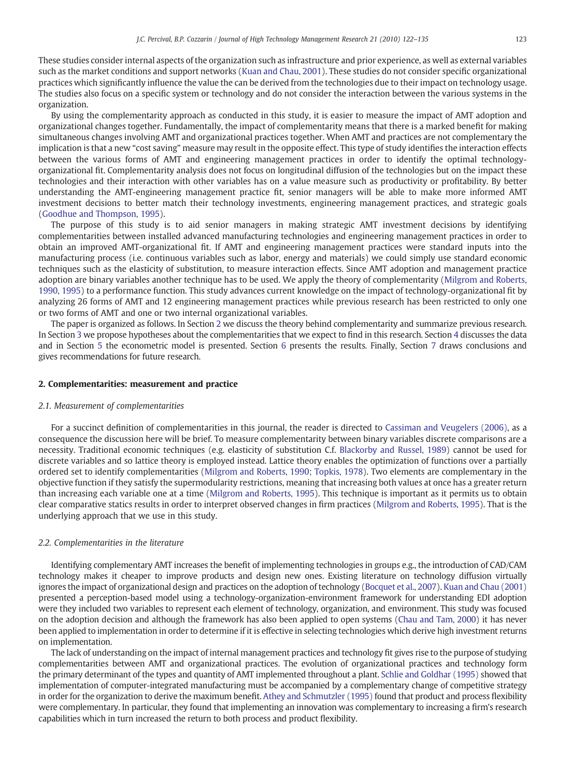These studies consider internal aspects of the organization such as infrastructure and prior experience, as well as external variables such as the market conditions and support networks [\(Kuan and Chau, 2001](#page--1-0)). These studies do not consider specific organizational practices which significantly influence the value the can be derived from the technologies due to their impact on technology usage. The studies also focus on a specific system or technology and do not consider the interaction between the various systems in the organization.

By using the complementarity approach as conducted in this study, it is easier to measure the impact of AMT adoption and organizational changes together. Fundamentally, the impact of complementarity means that there is a marked benefit for making simultaneous changes involving AMT and organizational practices together. When AMT and practices are not complementary the implication is that a new "cost saving" measure may result in the opposite effect. This type of study identifies the interaction effects between the various forms of AMT and engineering management practices in order to identify the optimal technologyorganizational fit. Complementarity analysis does not focus on longitudinal diffusion of the technologies but on the impact these technologies and their interaction with other variables has on a value measure such as productivity or profitability. By better understanding the AMT-engineering management practice fit, senior managers will be able to make more informed AMT investment decisions to better match their technology investments, engineering management practices, and strategic goals [\(Goodhue and Thompson, 1995](#page--1-0)).

The purpose of this study is to aid senior managers in making strategic AMT investment decisions by identifying complementarities between installed advanced manufacturing technologies and engineering management practices in order to obtain an improved AMT-organizational fit. If AMT and engineering management practices were standard inputs into the manufacturing process (i.e. continuous variables such as labor, energy and materials) we could simply use standard economic techniques such as the elasticity of substitution, to measure interaction effects. Since AMT adoption and management practice adoption are binary variables another technique has to be used. We apply the theory of complementarity [\(Milgrom and Roberts,](#page--1-0) [1990, 1995](#page--1-0)) to a performance function. This study advances current knowledge on the impact of technology-organizational fit by analyzing 26 forms of AMT and 12 engineering management practices while previous research has been restricted to only one or two forms of AMT and one or two internal organizational variables.

The paper is organized as follows. In Section 2 we discuss the theory behind complementarity and summarize previous research. In Section [3](#page--1-0) we propose hypotheses about the complementarities that we expect to find in this research. Section [4](#page--1-0) discusses the data and in Section [5](#page--1-0) the econometric model is presented. Section [6](#page--1-0) presents the results. Finally, Section [7](#page--1-0) draws conclusions and gives recommendations for future research.

#### 2. Complementarities: measurement and practice

#### 2.1. Measurement of complementarities

For a succinct definition of complementarities in this journal, the reader is directed to [Cassiman and Veugelers \(2006\)](#page--1-0), as a consequence the discussion here will be brief. To measure complementarity between binary variables discrete comparisons are a necessity. Traditional economic techniques (e.g. elasticity of substitution C.f. [Blackorby and Russel, 1989](#page--1-0)) cannot be used for discrete variables and so lattice theory is employed instead. Lattice theory enables the optimization of functions over a partially ordered set to identify complementarities [\(Milgrom and Roberts, 1990; Topkis, 1978\)](#page--1-0). Two elements are complementary in the objective function if they satisfy the supermodularity restrictions, meaning that increasing both values at once has a greater return than increasing each variable one at a time [\(Milgrom and Roberts, 1995](#page--1-0)). This technique is important as it permits us to obtain clear comparative statics results in order to interpret observed changes in firm practices ([Milgrom and Roberts, 1995](#page--1-0)). That is the underlying approach that we use in this study.

#### 2.2. Complementarities in the literature

Identifying complementary AMT increases the benefit of implementing technologies in groups e.g., the introduction of CAD/CAM technology makes it cheaper to improve products and design new ones. Existing literature on technology diffusion virtually ignores the impact of organizational design and practices on the adoption of technology ([Bocquet et al., 2007\)](#page--1-0). [Kuan and Chau \(2001\)](#page--1-0) presented a perception-based model using a technology-organization-environment framework for understanding EDI adoption were they included two variables to represent each element of technology, organization, and environment. This study was focused on the adoption decision and although the framework has also been applied to open systems [\(Chau and Tam, 2000](#page--1-0)) it has never been applied to implementation in order to determine if it is effective in selecting technologies which derive high investment returns on implementation.

The lack of understanding on the impact of internal management practices and technology fit gives rise to the purpose of studying complementarities between AMT and organizational practices. The evolution of organizational practices and technology form the primary determinant of the types and quantity of AMT implemented throughout a plant. [Schlie and Goldhar \(1995\)](#page--1-0) showed that implementation of computer-integrated manufacturing must be accompanied by a complementary change of competitive strategy in order for the organization to derive the maximum benefit. [Athey and Schmutzler \(1995\)](#page--1-0) found that product and process flexibility were complementary. In particular, they found that implementing an innovation was complementary to increasing a firm's research capabilities which in turn increased the return to both process and product flexibility.